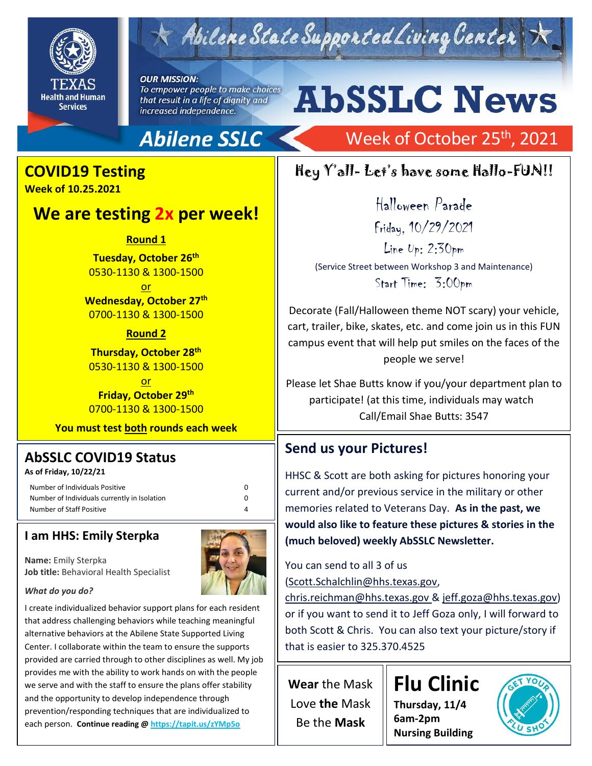

# $\tau$  Abilene State Supported Living Center

**OUR MISSION:** To empower people to make choices that result in a life of dignity and increased independence.

## **Abilene SSLC**

# **COVID19 Testing**

**Week of 10.25.2021**

### **We are testing 2x per week!**

**Round 1**

**Tuesday, October 26th** 0530-1130 & 1300-1500

or **Wednesday, October 27 th** 0700-1130 & 1300-1500

**Round 2**

**Thursday, October 28 th** 0530-1130 & 1300-1500

or **Friday, October 29 th** 0700-1130 & 1300-1500

**You must test both rounds each week**

### **AbSSLC COVID19 Status**

**As of Friday, 10/22/21**

Number of Individuals Positive 0 Number of Individuals currently in Isolation 0 Number of Staff Positive 4

#### **I am HHS: Emily Sterpka**

**Name:** Emily Sterpka **Job title:** Behavioral Health Specialist



*What do you do?*

I create individualized behavior support plans for each resident that address challenging behaviors while teaching meaningful alternative behaviors at the Abilene State Supported Living Center. I collaborate within the team to ensure the supports provided are carried through to other disciplines as well. My job provides me with the ability to work hands on with the people we serve and with the staff to ensure the plans offer stability and the opportunity to develop independence through prevention/responding techniques that are individualized to each person. **Continue reading @<https://tapit.us/zYMp5o>**

# **AbSSLC News**

## Week of October 25<sup>th</sup>, 2021

### Hey Y'all- Let's have some Hallo-FUN!!

Halloween Parade Friday, 10/29/2021 Line Up: 2:30pm (Service Street between Workshop 3 and Maintenance) Start Time: 3:00pm

Decorate (Fall/Halloween theme NOT scary) your vehicle, cart, trailer, bike, skates, etc. and come join us in this FUN campus event that will help put smiles on the faces of the people we serve!

Please let Shae Butts know if you/your department plan to participate! (at this time, individuals may watch Call/Email Shae Butts: 3547

### **Send us your Pictures!**

HHSC & Scott are both asking for pictures honoring your current and/or previous service in the military or other memories related to Veterans Day. **As in the past, we would also like to feature these pictures & stories in the (much beloved) weekly AbSSLC Newsletter.**

You can send to all 3 of us

[\(Scott.Schalchlin@hhs.texas.gov,](mailto:Scott.Schalchlin@hhs.texas.gov)

[chris.reichman@hhs.texas.gov](mailto:chris.reichman@hhs.texas.gov?subject=Veterans%20Day%20Photos) & [jeff.goza@hhs.texas.gov\)](mailto:jeff.goza@hhs.texas.gov) or if you want to send it to Jeff Goza only, I will forward to both Scott & Chris. You can also text your picture/story if that is easier to 325.370.4525

**Wear** the Mask Love **the** Mask Be the **Mask**

**Flu Clinic Thursday, 11/4 6am-2pm Nursing Building**